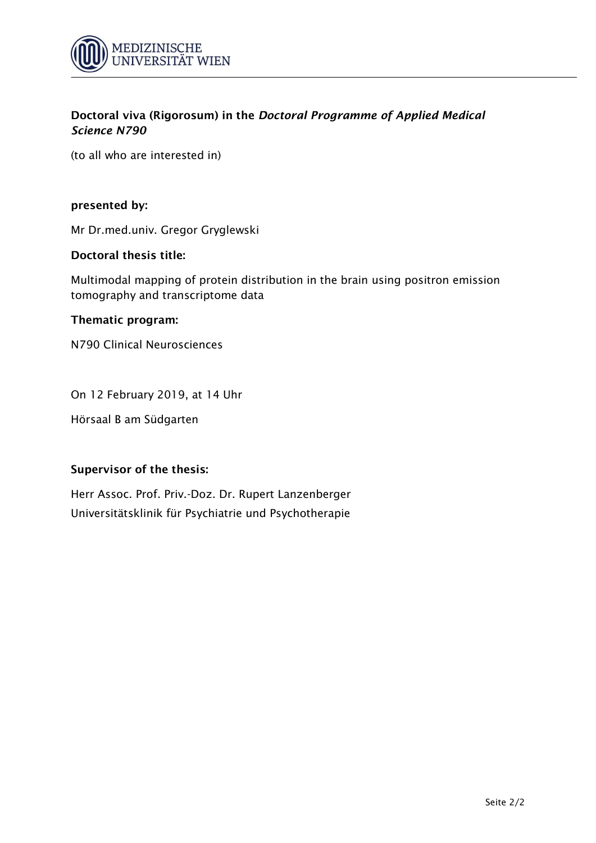

(to all who are interested in)

### **presented by:**

Mr Dr.med.univ. Gregor Gryglewski

#### **Doctoral thesis title:**

Multimodal mapping of protein distribution in the brain using positron emission tomography and transcriptome data

#### **Thematic program:**

N790 Clinical Neurosciences

On 12 February 2019, at 14 Uhr

Hörsaal B am Südgarten

## **Supervisor of the thesis:**

Herr Assoc. Prof. Priv.-Doz. Dr. Rupert Lanzenberger Universitätsklinik für Psychiatrie und Psychotherapie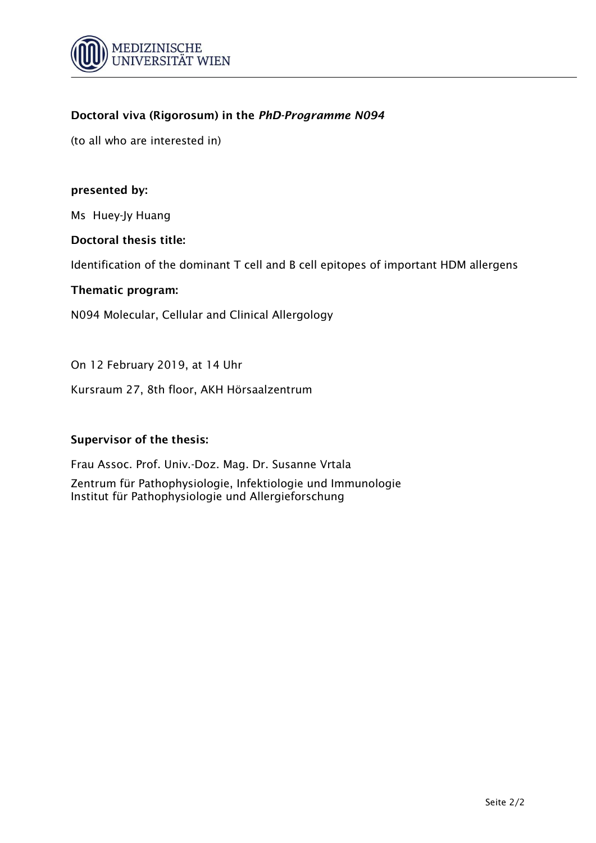

(to all who are interested in)

## **presented by:**

Ms Huey-Jy Huang

#### **Doctoral thesis title:**

Identification of the dominant T cell and B cell epitopes of important HDM allergens

#### **Thematic program:**

N094 Molecular, Cellular and Clinical Allergology

On 12 February 2019, at 14 Uhr

Kursraum 27, 8th floor, AKH Hörsaalzentrum

#### **Supervisor of the thesis:**

Frau Assoc. Prof. Univ.-Doz. Mag. Dr. Susanne Vrtala Zentrum für Pathophysiologie, Infektiologie und Immunologie Institut für Pathophysiologie und Allergieforschung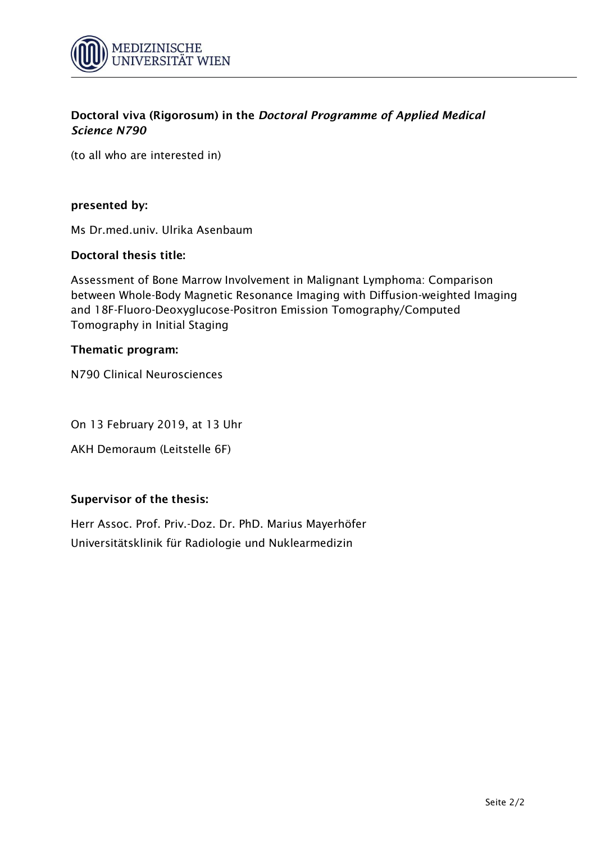

(to all who are interested in)

### **presented by:**

Ms Dr.med.univ. Ulrika Asenbaum

## **Doctoral thesis title:**

Assessment of Bone Marrow Involvement in Malignant Lymphoma: Comparison between Whole-Body Magnetic Resonance Imaging with Diffusion-weighted Imaging and 18F-Fluoro-Deoxyglucose-Positron Emission Tomography/Computed Tomography in Initial Staging

## **Thematic program:**

N790 Clinical Neurosciences

On 13 February 2019, at 13 Uhr

AKH Demoraum (Leitstelle 6F)

## **Supervisor of the thesis:**

Herr Assoc. Prof. Priv.-Doz. Dr. PhD. Marius Mayerhöfer Universitätsklinik für Radiologie und Nuklearmedizin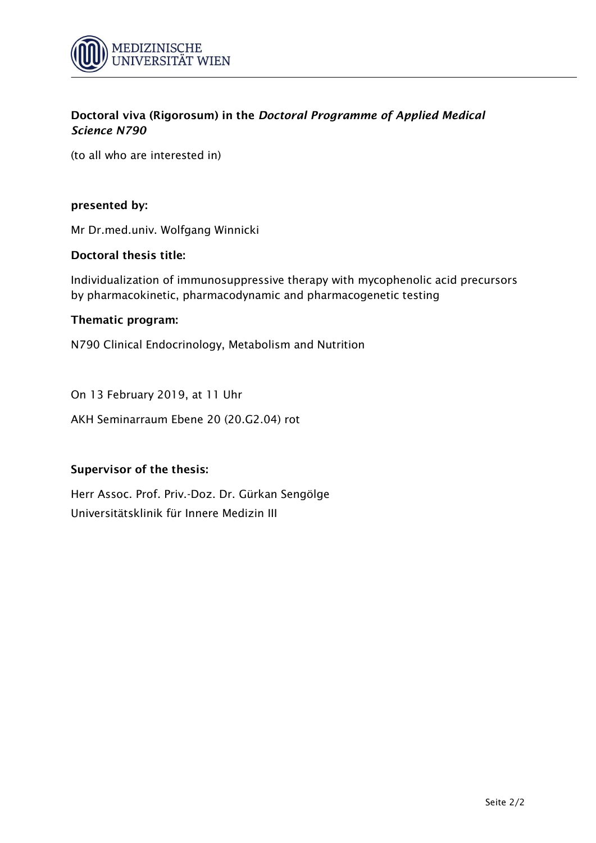

(to all who are interested in)

### **presented by:**

Mr Dr.med.univ. Wolfgang Winnicki

## **Doctoral thesis title:**

Individualization of immunosuppressive therapy with mycophenolic acid precursors by pharmacokinetic, pharmacodynamic and pharmacogenetic testing

#### **Thematic program:**

N790 Clinical Endocrinology, Metabolism and Nutrition

On 13 February 2019, at 11 Uhr

AKH Seminarraum Ebene 20 (20.G2.04) rot

## **Supervisor of the thesis:**

Herr Assoc. Prof. Priv.-Doz. Dr. Gürkan Sengölge Universitätsklinik für Innere Medizin III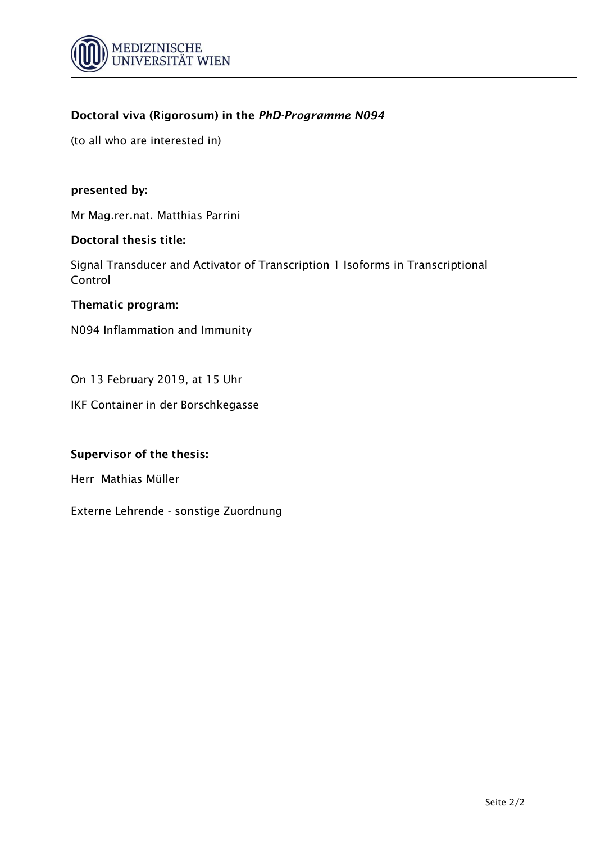

(to all who are interested in)

#### **presented by:**

Mr Mag.rer.nat. Matthias Parrini

#### **Doctoral thesis title:**

Signal Transducer and Activator of Transcription 1 Isoforms in Transcriptional Control

#### **Thematic program:**

N094 Inflammation and Immunity

On 13 February 2019, at 15 Uhr

IKF Container in der Borschkegasse

## **Supervisor of the thesis:**

Herr Mathias Müller

Externe Lehrende - sonstige Zuordnung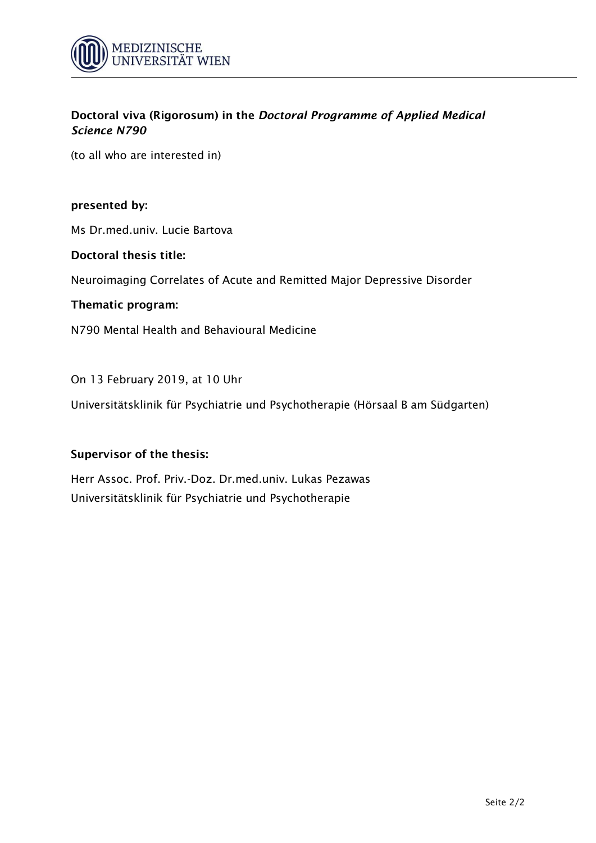

(to all who are interested in)

### **presented by:**

Ms Dr.med.univ. Lucie Bartova

#### **Doctoral thesis title:**

Neuroimaging Correlates of Acute and Remitted Major Depressive Disorder

#### **Thematic program:**

N790 Mental Health and Behavioural Medicine

#### On 13 February 2019, at 10 Uhr

Universitätsklinik für Psychiatrie und Psychotherapie (Hörsaal B am Südgarten)

#### **Supervisor of the thesis:**

Herr Assoc. Prof. Priv.-Doz. Dr.med.univ. Lukas Pezawas Universitätsklinik für Psychiatrie und Psychotherapie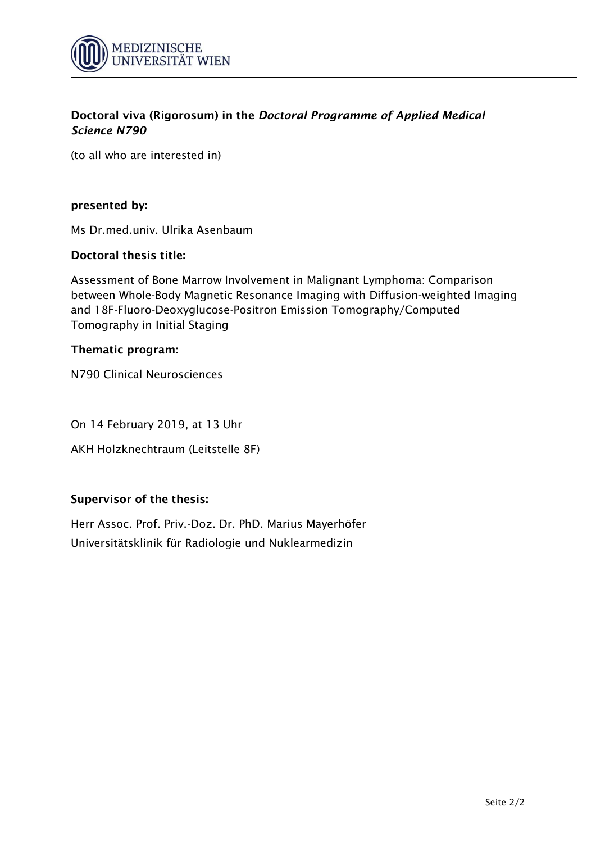

(to all who are interested in)

### **presented by:**

Ms Dr.med.univ. Ulrika Asenbaum

## **Doctoral thesis title:**

Assessment of Bone Marrow Involvement in Malignant Lymphoma: Comparison between Whole-Body Magnetic Resonance Imaging with Diffusion-weighted Imaging and 18F-Fluoro-Deoxyglucose-Positron Emission Tomography/Computed Tomography in Initial Staging

## **Thematic program:**

N790 Clinical Neurosciences

On 14 February 2019, at 13 Uhr

AKH Holzknechtraum (Leitstelle 8F)

## **Supervisor of the thesis:**

Herr Assoc. Prof. Priv.-Doz. Dr. PhD. Marius Mayerhöfer Universitätsklinik für Radiologie und Nuklearmedizin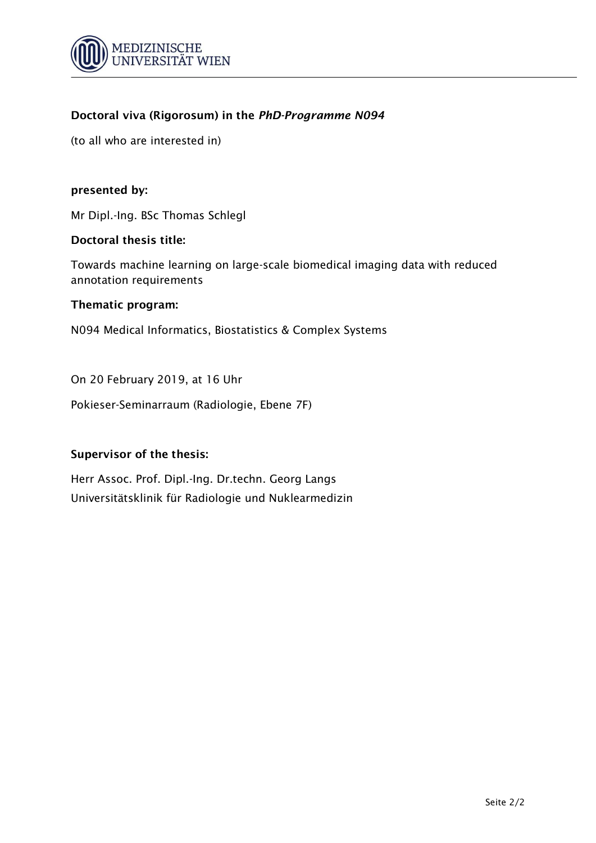

(to all who are interested in)

## **presented by:**

Mr Dipl.-Ing. BSc Thomas Schlegl

#### **Doctoral thesis title:**

Towards machine learning on large-scale biomedical imaging data with reduced annotation requirements

#### **Thematic program:**

N094 Medical Informatics, Biostatistics & Complex Systems

On 20 February 2019, at 16 Uhr

Pokieser-Seminarraum (Radiologie, Ebene 7F)

## **Supervisor of the thesis:**

Herr Assoc. Prof. Dipl.-Ing. Dr.techn. Georg Langs Universitätsklinik für Radiologie und Nuklearmedizin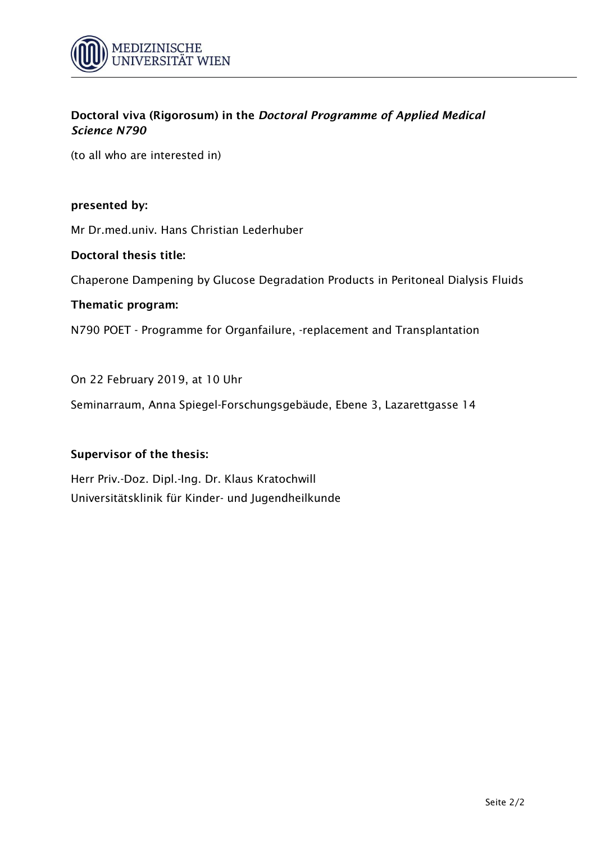

(to all who are interested in)

### **presented by:**

Mr Dr.med.univ. Hans Christian Lederhuber

#### **Doctoral thesis title:**

Chaperone Dampening by Glucose Degradation Products in Peritoneal Dialysis Fluids

#### **Thematic program:**

N790 POET - Programme for Organfailure, -replacement and Transplantation

On 22 February 2019, at 10 Uhr

Seminarraum, Anna Spiegel-Forschungsgebäude, Ebene 3, Lazarettgasse 14

## **Supervisor of the thesis:**

Herr Priv.-Doz. Dipl.-Ing. Dr. Klaus Kratochwill Universitätsklinik für Kinder- und Jugendheilkunde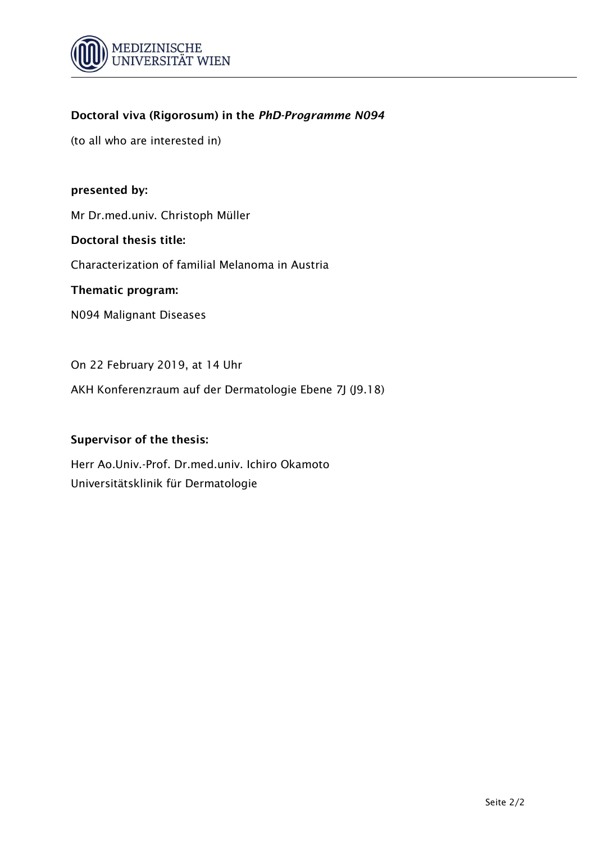

(to all who are interested in)

### **presented by:**

Mr Dr.med.univ. Christoph Müller

#### **Doctoral thesis title:**

Characterization of familial Melanoma in Austria

#### **Thematic program:**

N094 Malignant Diseases

On 22 February 2019, at 14 Uhr

AKH Konferenzraum auf der Dermatologie Ebene 7J (J9.18)

#### **Supervisor of the thesis:**

Herr Ao.Univ.-Prof. Dr.med.univ. Ichiro Okamoto Universitätsklinik für Dermatologie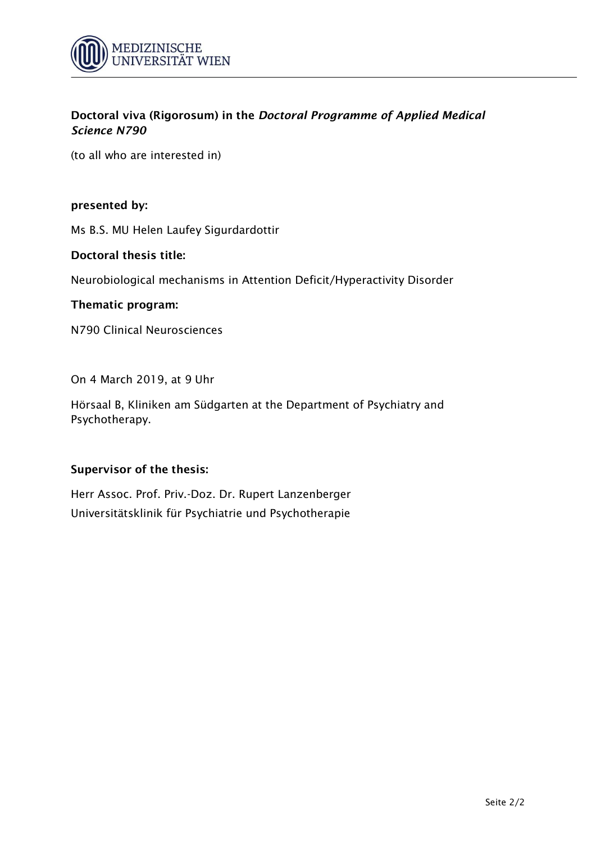

(to all who are interested in)

### **presented by:**

Ms B.S. MU Helen Laufey Sigurdardottir

#### **Doctoral thesis title:**

Neurobiological mechanisms in Attention Deficit/Hyperactivity Disorder

## **Thematic program:**

N790 Clinical Neurosciences

On 4 March 2019, at 9 Uhr

Hörsaal B, Kliniken am Südgarten at the Department of Psychiatry and Psychotherapy.

## **Supervisor of the thesis:**

Herr Assoc. Prof. Priv.-Doz. Dr. Rupert Lanzenberger Universitätsklinik für Psychiatrie und Psychotherapie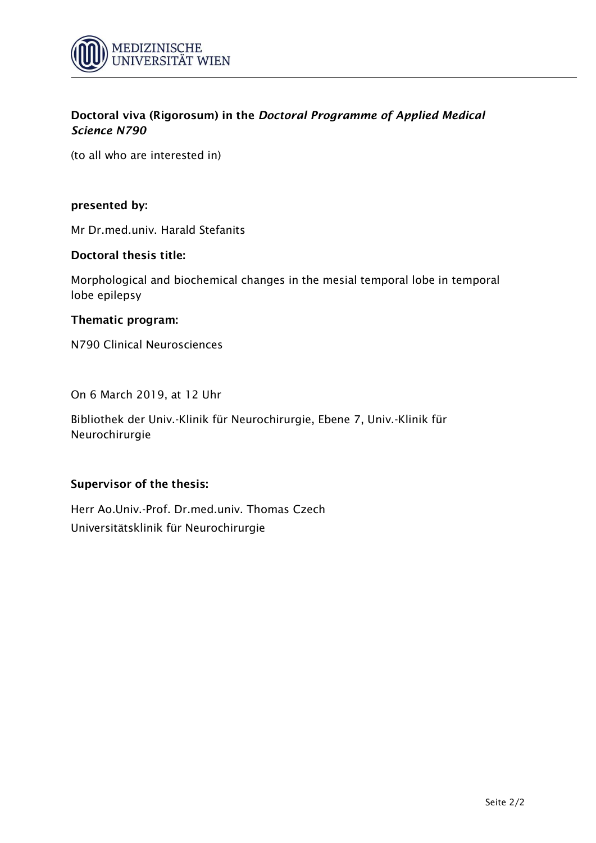

(to all who are interested in)

### **presented by:**

Mr Dr.med.univ. Harald Stefanits

#### **Doctoral thesis title:**

Morphological and biochemical changes in the mesial temporal lobe in temporal lobe epilepsy

#### **Thematic program:**

N790 Clinical Neurosciences

On 6 March 2019, at 12 Uhr

Bibliothek der Univ.-Klinik für Neurochirurgie, Ebene 7, Univ.-Klinik für Neurochirurgie

#### **Supervisor of the thesis:**

Herr Ao.Univ.-Prof. Dr.med.univ. Thomas Czech Universitätsklinik für Neurochirurgie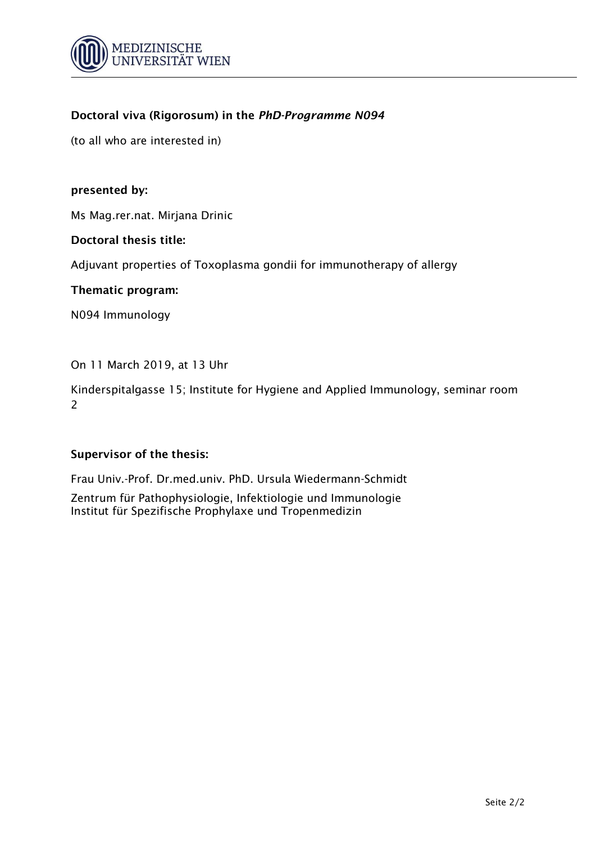

(to all who are interested in)

### **presented by:**

Ms Mag.rer.nat. Mirjana Drinic

#### **Doctoral thesis title:**

Adjuvant properties of Toxoplasma gondii for immunotherapy of allergy

#### **Thematic program:**

N094 Immunology

On 11 March 2019, at 13 Uhr

Kinderspitalgasse 15; Institute for Hygiene and Applied Immunology, seminar room 2

## **Supervisor of the thesis:**

Frau Univ.-Prof. Dr.med.univ. PhD. Ursula Wiedermann-Schmidt

Zentrum für Pathophysiologie, Infektiologie und Immunologie Institut für Spezifische Prophylaxe und Tropenmedizin